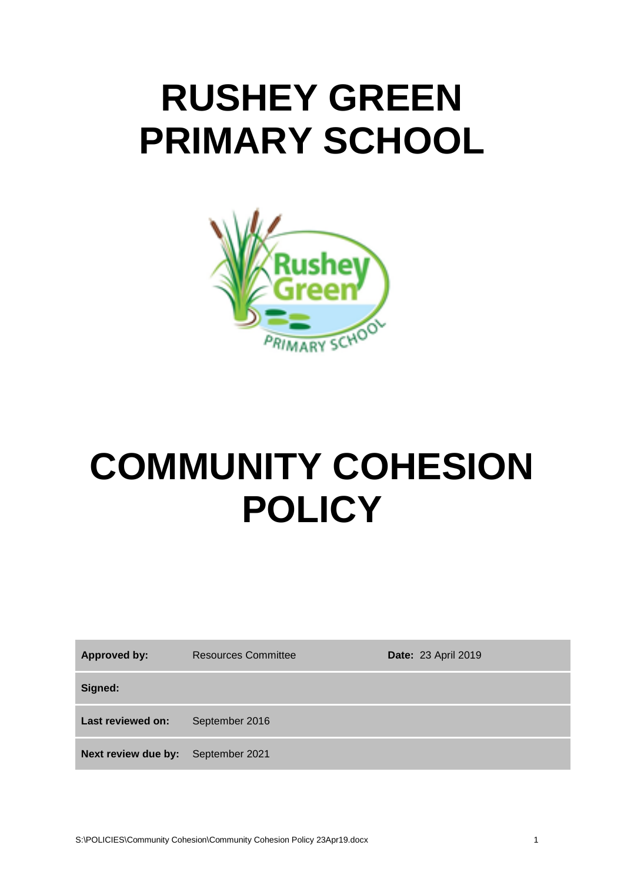# **RUSHEY GREEN PRIMARY SCHOOL**



# **COMMUNITY COHESION POLICY**

| <b>Approved by:</b>                | <b>Resources Committee</b> | <b>Date: 23 April 2019</b> |
|------------------------------------|----------------------------|----------------------------|
| Signed:                            |                            |                            |
| Last reviewed on:                  | September 2016             |                            |
| Next review due by: September 2021 |                            |                            |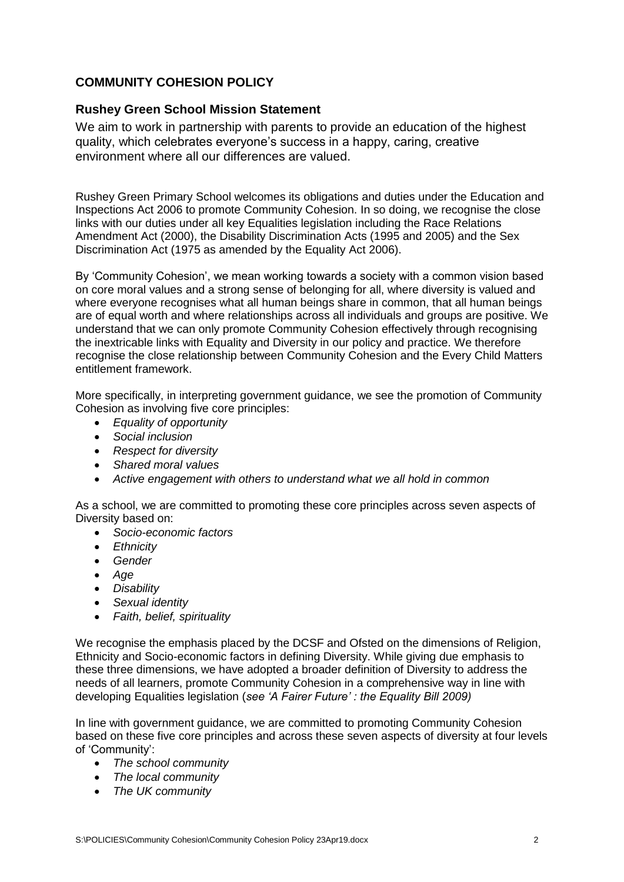# **COMMUNITY COHESION POLICY**

## **Rushey Green School Mission Statement**

We aim to work in partnership with parents to provide an education of the highest quality, which celebrates everyone's success in a happy, caring, creative environment where all our differences are valued.

Rushey Green Primary School welcomes its obligations and duties under the Education and Inspections Act 2006 to promote Community Cohesion. In so doing, we recognise the close links with our duties under all key Equalities legislation including the Race Relations Amendment Act (2000), the Disability Discrimination Acts (1995 and 2005) and the Sex Discrimination Act (1975 as amended by the Equality Act 2006).

By 'Community Cohesion', we mean working towards a society with a common vision based on core moral values and a strong sense of belonging for all, where diversity is valued and where everyone recognises what all human beings share in common, that all human beings are of equal worth and where relationships across all individuals and groups are positive. We understand that we can only promote Community Cohesion effectively through recognising the inextricable links with Equality and Diversity in our policy and practice. We therefore recognise the close relationship between Community Cohesion and the Every Child Matters entitlement framework.

More specifically, in interpreting government guidance, we see the promotion of Community Cohesion as involving five core principles:

- *Equality of opportunity*
- *Social inclusion*
- *Respect for diversity*
- *Shared moral values*
- *Active engagement with others to understand what we all hold in common*

As a school, we are committed to promoting these core principles across seven aspects of Diversity based on:

- *Socio-economic factors*
- *Ethnicity*
- *Gender*
- *Age*
- *Disability*
- *Sexual identity*
- *Faith, belief, spirituality*

We recognise the emphasis placed by the DCSF and Ofsted on the dimensions of Religion, Ethnicity and Socio-economic factors in defining Diversity. While giving due emphasis to these three dimensions, we have adopted a broader definition of Diversity to address the needs of all learners, promote Community Cohesion in a comprehensive way in line with developing Equalities legislation (*see 'A Fairer Future' : the Equality Bill 2009)*

In line with government guidance, we are committed to promoting Community Cohesion based on these five core principles and across these seven aspects of diversity at four levels of 'Community':

- *The school community*
- *The local community*
- *The UK community*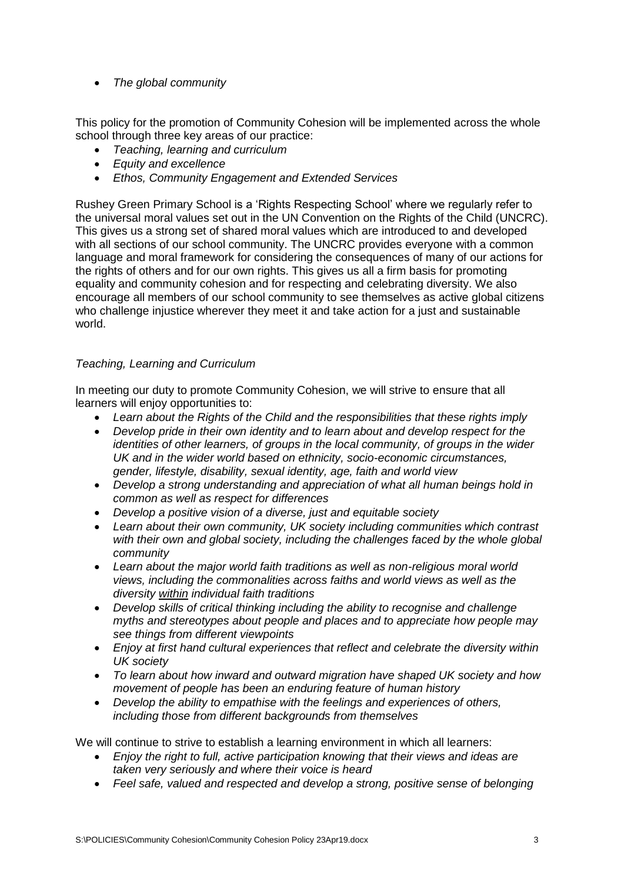*The global community*

This policy for the promotion of Community Cohesion will be implemented across the whole school through three key areas of our practice:

- *Teaching, learning and curriculum*
- *Equity and excellence*
- *Ethos, Community Engagement and Extended Services*

Rushey Green Primary School is a 'Rights Respecting School' where we regularly refer to the universal moral values set out in the UN Convention on the Rights of the Child (UNCRC). This gives us a strong set of shared moral values which are introduced to and developed with all sections of our school community. The UNCRC provides everyone with a common language and moral framework for considering the consequences of many of our actions for the rights of others and for our own rights. This gives us all a firm basis for promoting equality and community cohesion and for respecting and celebrating diversity. We also encourage all members of our school community to see themselves as active global citizens who challenge injustice wherever they meet it and take action for a just and sustainable world.

### *Teaching, Learning and Curriculum*

In meeting our duty to promote Community Cohesion, we will strive to ensure that all learners will enjoy opportunities to:

- *Learn about the Rights of the Child and the responsibilities that these rights imply*
- *Develop pride in their own identity and to learn about and develop respect for the identities of other learners, of groups in the local community, of groups in the wider UK and in the wider world based on ethnicity, socio-economic circumstances, gender, lifestyle, disability, sexual identity, age, faith and world view*
- *Develop a strong understanding and appreciation of what all human beings hold in common as well as respect for differences*
- *Develop a positive vision of a diverse, just and equitable society*
- *Learn about their own community, UK society including communities which contrast*  with their own and global society, including the challenges faced by the whole global *community*
- *Learn about the major world faith traditions as well as non-religious moral world views, including the commonalities across faiths and world views as well as the diversity within individual faith traditions*
- *Develop skills of critical thinking including the ability to recognise and challenge myths and stereotypes about people and places and to appreciate how people may see things from different viewpoints*
- *Enjoy at first hand cultural experiences that reflect and celebrate the diversity within UK society*
- *To learn about how inward and outward migration have shaped UK society and how movement of people has been an enduring feature of human history*
- *Develop the ability to empathise with the feelings and experiences of others, including those from different backgrounds from themselves*

We will continue to strive to establish a learning environment in which all learners:

- *Enjoy the right to full, active participation knowing that their views and ideas are taken very seriously and where their voice is heard*
- *Feel safe, valued and respected and develop a strong, positive sense of belonging*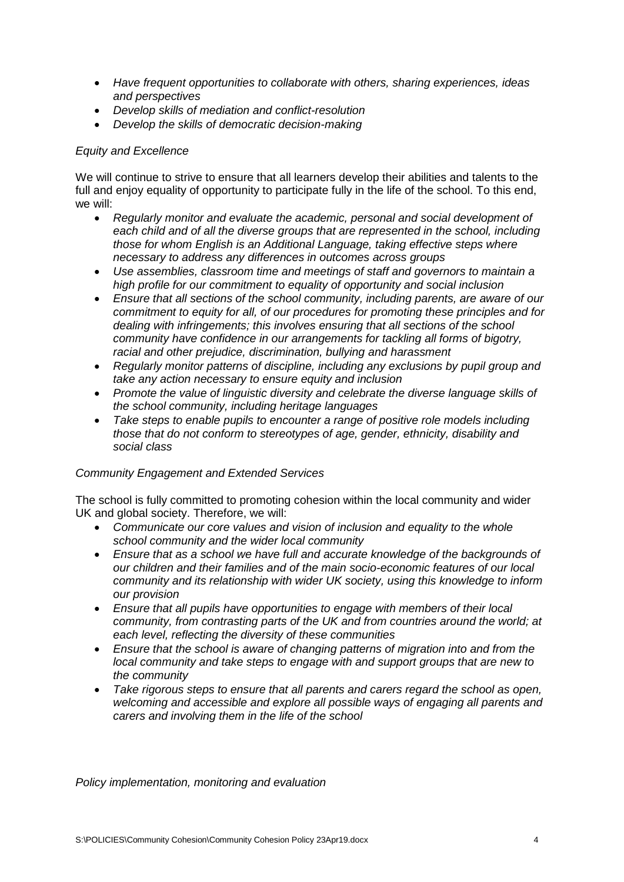- *Have frequent opportunities to collaborate with others, sharing experiences, ideas and perspectives*
- *Develop skills of mediation and conflict-resolution*
- *Develop the skills of democratic decision-making*

#### *Equity and Excellence*

We will continue to strive to ensure that all learners develop their abilities and talents to the full and enjoy equality of opportunity to participate fully in the life of the school. To this end, we will:

- *Regularly monitor and evaluate the academic, personal and social development of each child and of all the diverse groups that are represented in the school, including those for whom English is an Additional Language, taking effective steps where necessary to address any differences in outcomes across groups*
- *Use assemblies, classroom time and meetings of staff and governors to maintain a high profile for our commitment to equality of opportunity and social inclusion*
- *Ensure that all sections of the school community, including parents, are aware of our commitment to equity for all, of our procedures for promoting these principles and for dealing with infringements; this involves ensuring that all sections of the school community have confidence in our arrangements for tackling all forms of bigotry, racial and other prejudice, discrimination, bullying and harassment*
- *Regularly monitor patterns of discipline, including any exclusions by pupil group and take any action necessary to ensure equity and inclusion*
- *Promote the value of linguistic diversity and celebrate the diverse language skills of the school community, including heritage languages*
- *Take steps to enable pupils to encounter a range of positive role models including those that do not conform to stereotypes of age, gender, ethnicity, disability and social class*

#### *Community Engagement and Extended Services*

The school is fully committed to promoting cohesion within the local community and wider UK and global society. Therefore, we will:

- *Communicate our core values and vision of inclusion and equality to the whole school community and the wider local community*
- *Ensure that as a school we have full and accurate knowledge of the backgrounds of our children and their families and of the main socio-economic features of our local community and its relationship with wider UK society, using this knowledge to inform our provision*
- *Ensure that all pupils have opportunities to engage with members of their local community, from contrasting parts of the UK and from countries around the world; at each level, reflecting the diversity of these communities*
- *Ensure that the school is aware of changing patterns of migration into and from the local community and take steps to engage with and support groups that are new to the community*
- *Take rigorous steps to ensure that all parents and carers regard the school as open, welcoming and accessible and explore all possible ways of engaging all parents and carers and involving them in the life of the school*

*Policy implementation, monitoring and evaluation*